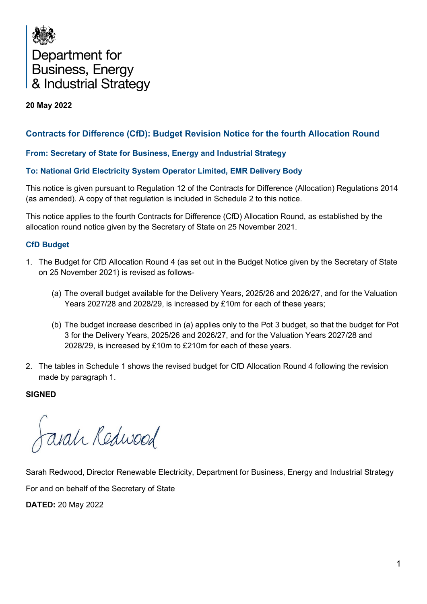

## **20 May 2022**

# **Contracts for Difference (CfD): Budget Revision Notice for the fourth Allocation Round**

## **From: Secretary of State for Business, Energy and Industrial Strategy**

## **To: National Grid Electricity System Operator Limited, EMR Delivery Body**

This notice is given pursuant to Regulation 12 of the Contracts for Difference (Allocation) Regulations 2014 (as amended). A copy of that regulation is included in Schedule 2 to this notice.

This notice applies to the fourth Contracts for Difference (CfD) Allocation Round, as established by the allocation round notice given by the Secretary of State on 25 November 2021.

## **CfD Budget**

- 1. The Budget for CfD Allocation Round 4 (as set out in the Budget Notice given by the Secretary of State on 25 November 2021) is revised as follows-
	- (a) The overall budget available for the Delivery Years, 2025/26 and 2026/27, and for the Valuation Years 2027/28 and 2028/29, is increased by £10m for each of these years;
	- (b) The budget increase described in (a) applies only to the Pot 3 budget, so that the budget for Pot 3 for the Delivery Years, 2025/26 and 2026/27, and for the Valuation Years 2027/28 and 2028/29, is increased by £10m to £210m for each of these years.
- 2. The tables in Schedule 1 shows the revised budget for CfD Allocation Round 4 following the revision made by paragraph 1.

#### **SIGNED**

arah Redwood

Sarah Redwood, Director Renewable Electricity, Department for Business, Energy and Industrial Strategy For and on behalf of the Secretary of State

**DATED:** 20 May 2022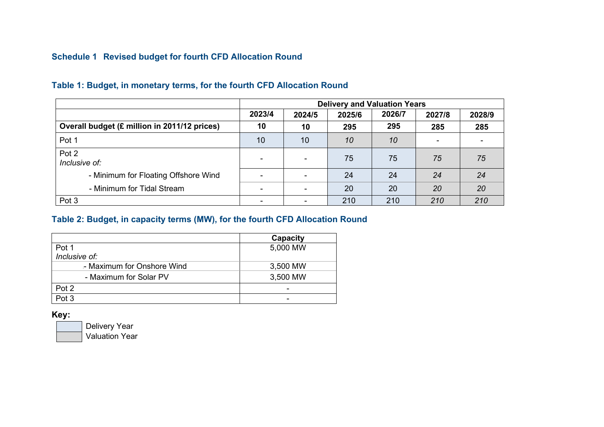# **Schedule 1 Revised budget for fourth CFD Allocation Round**

|                                              | <b>Delivery and Valuation Years</b> |        |        |        |        |        |
|----------------------------------------------|-------------------------------------|--------|--------|--------|--------|--------|
|                                              | 2023/4                              | 2024/5 | 2025/6 | 2026/7 | 2027/8 | 2028/9 |
| Overall budget (£ million in 2011/12 prices) | 10                                  | 10     | 295    | 295    | 285    | 285    |
| Pot 1                                        | 10                                  | 10     | 10     | 10     |        |        |
| Pot 2<br>Inclusive of:                       | $\sim$                              |        | 75     | 75     | 75     | 75     |
| - Minimum for Floating Offshore Wind         | ۰                                   |        | 24     | 24     | 24     | 24     |
| - Minimum for Tidal Stream                   | $\sim$                              |        | 20     | 20     | 20     | 20     |
| Pot 3                                        | ۰                                   |        | 210    | 210    | 210    | 210    |

## **Table 1: Budget, in monetary terms, for the fourth CFD Allocation Round**

## **Table 2: Budget, in capacity terms (MW), for the fourth CFD Allocation Round**

|                            | Capacity |
|----------------------------|----------|
| Pot 1                      | 5,000 MW |
| Inclusive of:              |          |
| - Maximum for Onshore Wind | 3,500 MW |
| - Maximum for Solar PV     | 3,500 MW |
| Pot 2                      |          |
| Pot 3                      |          |

**Key:**

Delivery Year Valuation Year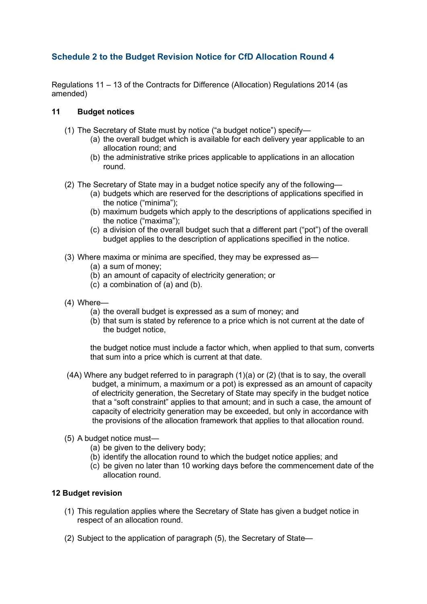# **Schedule 2 to the Budget Revision Notice for CfD Allocation Round 4**

Regulations 11 – 13 of the Contracts for Difference (Allocation) Regulations 2014 (as amended)

### **11 Budget notices**

- (1) The Secretary of State must by notice ("a budget notice") specify—
	- (a) the overall budget which is available for each delivery year applicable to an allocation round; and
	- (b) the administrative strike prices applicable to applications in an allocation round.
- (2) The Secretary of State may in a budget notice specify any of the following—
	- (a) budgets which are reserved for the descriptions of applications specified in the notice ("minima");
	- (b) maximum budgets which apply to the descriptions of applications specified in the notice ("maxima");
	- (c) a division of the overall budget such that a different part ("pot") of the overall budget applies to the description of applications specified in the notice.
- (3) Where maxima or minima are specified, they may be expressed as—
	- (a) a sum of money;
	- (b) an amount of capacity of electricity generation; or
	- (c) a combination of (a) and (b).
- (4) Where—
	- (a) the overall budget is expressed as a sum of money; and
	- (b) that sum is stated by reference to a price which is not current at the date of the budget notice,

the budget notice must include a factor which, when applied to that sum, converts that sum into a price which is current at that date.

- (4A) Where any budget referred to in paragraph (1)(a) or (2) (that is to say, the overall budget, a minimum, a maximum or a pot) is expressed as an amount of capacity of electricity generation, the Secretary of State may specify in the budget notice that a "soft constraint" applies to that amount; and in such a case, the amount of capacity of electricity generation may be exceeded, but only in accordance with the provisions of the allocation framework that applies to that allocation round.
- (5) A budget notice must—
	- (a) be given to the delivery body;
	- (b) identify the allocation round to which the budget notice applies; and
	- (c) be given no later than 10 working days before the commencement date of the allocation round.

## **12 Budget revision**

- (1) This regulation applies where the Secretary of State has given a budget notice in respect of an allocation round.
- (2) Subject to the application of paragraph (5), the Secretary of State—